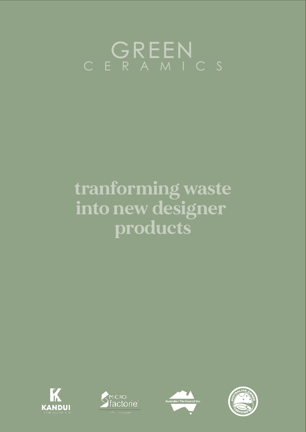## C E R A M I C S GREEN

## **tranforming waste into new designer products**







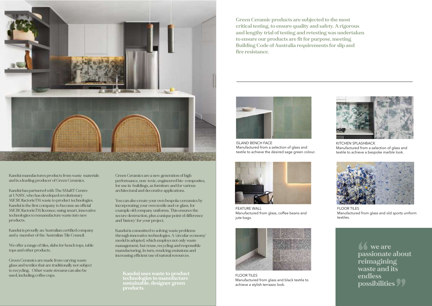**Kandui uses waste to product technologies to manufacture sustainable, designer green products.** 

Green Ceramics are a new generation of high performance, non-toxic, engineered bio-composites, for use in buildings, as furniture and for various architectural and decorative applications.

You can also create your own bespoke cereamics by incorporating your own textile and/or glass, for example old company uniforms. This ensures the secure destruction, plus a unique point of difference and 'history' for your project.

Kandui is committed to solving waste problems through innovative teehnologies. A 'circular economy' model is adopted, which employs not only waste management, but reuse, recycling and responsible manufacturing. In turn, reudcing emissions and increasing efficient use of natural resources.



Kandui manufactures products from waste materials and is a leading producer of Green Ceramics.

Kandui has partnered with The SMaRT Centre at UNSW, who has developed revolutionary MICROfactorieTM waste to product technologies. Kandui is the first company to become an official MICROfactorieTM licensee, using smart, innovative technologies to remanufacture waste into new products.

Kandui is proudly an Australian certified company and a member of the Australian Tile Council.

We offer a range of tiles, slabs for bench tops, table tops and other products.

Green Ceramics are made from varying waste glass and textiles that are traditionally not subject to recycling. Other waste streams can also be used, including coffee cups.

**Green Ceramic products are subjected to the most critical testing, to ensure quality and safety. A rigorous and lengthy trial of testing and retesting was undertaken to ensure our products are fit for purpose, meeting Building Code of Australia requirements for slip and fire resistance.**

> **we are passionate about reimagining waste and its endless possibilities ""**



FEATURE WALL Manufactured from glass, coffee beans and jute bags.



FLOOR TILES Manufactured from glass and black textile to achieve a stylish terrazzo look.



FLOOR TILES Manufactured from glass and old sports uniform textiles.



ISLAND BENCH FACE Manufactured from a selection of glass and textile to achieve the desired sage green colour.

KITCHEN SPLASHBACK Manufactured from a selection of glass and textile to achieve a bespoke marble look.

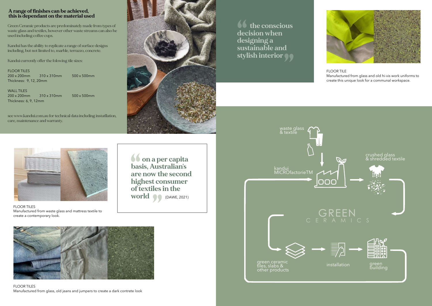**16** the conscious **decision when designing a sustainable and stylish interior "**



FLOOR TILES Manufactured from glass, old jeans and jumpers to create a dark contrete look



FLOOR TILES Manufactured from waste glass and mattress textile to create a contemporary look.

## FLOOR TILE

Manufactured from glass and old hi-vis work uniforms to create this unique look for a communal workspace.





**on a per capita basis, Australian's are now the second highest consumer of textiles in the world "**(DAWE, 2021) **"**

## **A range of finishes can be achieved, this is dependant on the material used**

Green Ceramic products are predominately made from types of waste glass and textiles, however other waste streams can also be used including coffee cups.

Kandui has the ability to replicate a range of surface designs including, but not limited to, marble, terrazzo, concrete.

Kandui currently offer the folowing tile sizes:

FLOOR TILES 200 x 200mm 310 x 310mm 500 x 500mm Thickness: 9, 12, 20mm

WALL TILES 200 x 200mm 310 x 310mm 500 x 500mm Thickness: 6, 9, 12mm

see www.kandui.com.au for technical data including instatllation, care, maintenance and warranty.